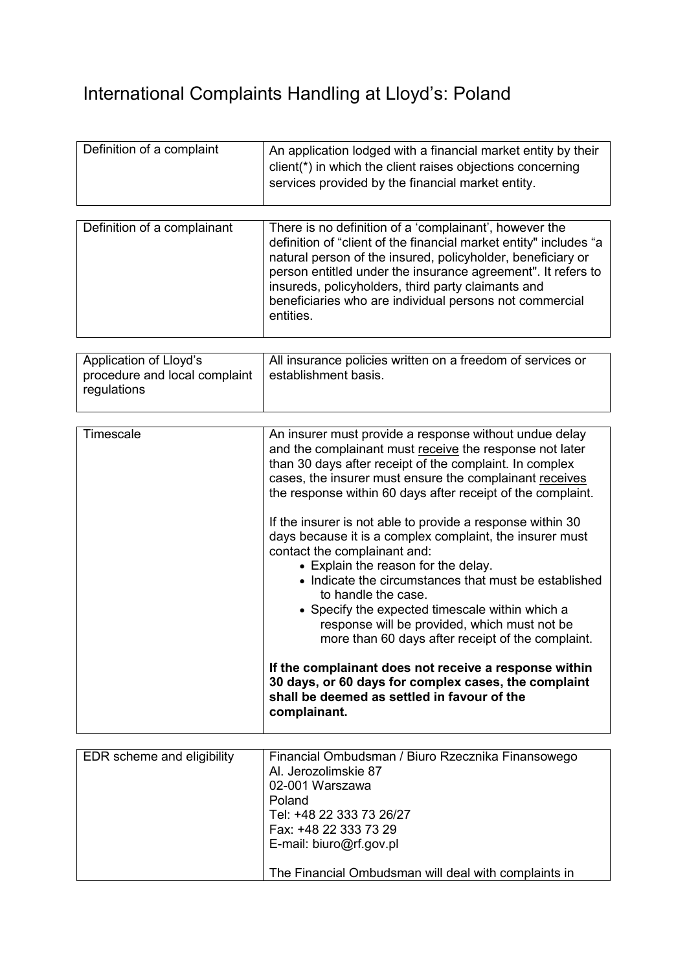## International Complaints Handling at Lloyd's: Poland

| Definition of a complaint | An application lodged with a financial market entity by their<br>client(*) in which the client raises objections concerning<br>services provided by the financial market entity. |
|---------------------------|----------------------------------------------------------------------------------------------------------------------------------------------------------------------------------|

| Definition of a complainant<br>entities. | There is no definition of a 'complainant', however the<br>definition of "client of the financial market entity" includes "a<br>natural person of the insured, policyholder, beneficiary or<br>person entitled under the insurance agreement". It refers to<br>insureds, policyholders, third party claimants and<br>beneficiaries who are individual persons not commercial |
|------------------------------------------|-----------------------------------------------------------------------------------------------------------------------------------------------------------------------------------------------------------------------------------------------------------------------------------------------------------------------------------------------------------------------------|

| Application of Lloyd's<br>procedure and local complaint<br>regulations | All insurance policies written on a freedom of services or<br>establishment basis. |
|------------------------------------------------------------------------|------------------------------------------------------------------------------------|
|                                                                        |                                                                                    |

| Timescale | An insurer must provide a response without undue delay<br>and the complainant must receive the response not later<br>than 30 days after receipt of the complaint. In complex<br>cases, the insurer must ensure the complainant receives<br>the response within 60 days after receipt of the complaint.                                                                                                                                |
|-----------|---------------------------------------------------------------------------------------------------------------------------------------------------------------------------------------------------------------------------------------------------------------------------------------------------------------------------------------------------------------------------------------------------------------------------------------|
|           | If the insurer is not able to provide a response within 30<br>days because it is a complex complaint, the insurer must<br>contact the complainant and:<br>• Explain the reason for the delay.<br>• Indicate the circumstances that must be established<br>to handle the case.<br>• Specify the expected timescale within which a<br>response will be provided, which must not be<br>more than 60 days after receipt of the complaint. |
|           | If the complainant does not receive a response within<br>30 days, or 60 days for complex cases, the complaint<br>shall be deemed as settled in favour of the<br>complainant.                                                                                                                                                                                                                                                          |

| EDR scheme and eligibility | Financial Ombudsman / Biuro Rzecznika Finansowego<br>Al. Jerozolimskie 87<br>02-001 Warszawa<br>Poland<br>Tel: +48 22 333 73 26/27<br>Fax: +48 22 333 73 29<br>E-mail: biuro@rf.gov.pl |
|----------------------------|----------------------------------------------------------------------------------------------------------------------------------------------------------------------------------------|
|                            | The Financial Ombudsman will deal with complaints in                                                                                                                                   |